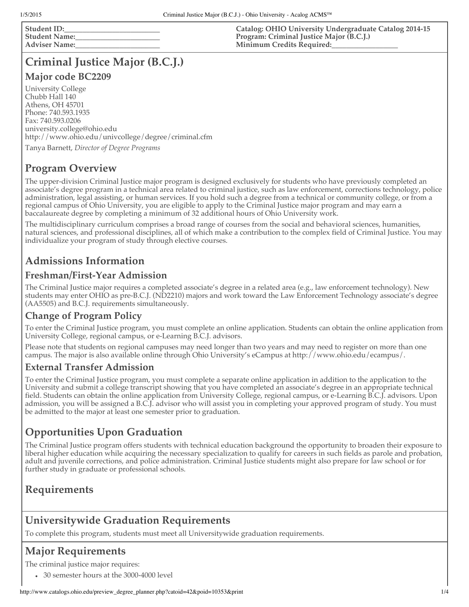**Student ID**: **Student Name:\_\_\_\_\_\_\_\_\_\_\_\_\_\_\_\_\_\_\_\_\_\_\_ Adviser Name:\_\_\_\_\_\_\_\_\_\_\_\_\_\_\_\_\_\_\_\_\_\_\_** **Catalog: OHIO University Undergraduate Catalog 2014-15 Program: Criminal Justice Major (B.C.J.) Minimum Credits Required:\_\_\_\_\_\_\_\_\_\_\_\_\_\_\_\_\_\_**

# **Criminal Justice Major (B.C.J.)**

#### **Major code BC2209**

University College Chubb Hall 140 Athens, OH 45701 Phone: 740.593.1935 Fax: 740.593.0206 university.college@ohio.edu http://www.ohio.edu/univcollege/degree/criminal.cfm

Tanya Barnett, *Director of Degree Programs*

### **Program Overview**

The upper-division Criminal Justice major program is designed exclusively for students who have previously completed an associate's degree program in a technical area related to criminal justice, such as law enforcement, corrections technology, police administration, legal assisting, or human services. If you hold such a degree from a technical or community college, or from a regional campus of Ohio University, you are eligible to apply to the Criminal Justice major program and may earn a baccalaureate degree by completing a minimum of 32 additional hours of Ohio University work.

The multidisciplinary curriculum comprises a broad range of courses from the social and behavioral sciences, humanities, natural sciences, and professional disciplines, all of which make a contribution to the complex field of Criminal Justice. You may individualize your program of study through elective courses.

## **Admissions Information**

#### **Freshman/First-Year Admission**

The Criminal Justice major requires a completed associate's degree in a related area (e.g., law enforcement technology). New students may enter OHIO as pre-B.C.J. (ND2210) majors and work toward the Law Enforcement Technology associate's degree (AA5505) and B.C.J. requirements simultaneously.

#### **Change of Program Policy**

To enter the Criminal Justice program, you must complete an online application. Students can obtain the online application from University College, regional campus, or e-Learning B.C.J. advisors.

Please note that students on regional campuses may need longer than two years and may need to register on more than one campus. The major is also available online through Ohio University's eCampus at http://www.ohio.edu/ecampus/.

#### **External Transfer Admission**

To enter the Criminal Justice program, you must complete a separate online application in addition to the application to the University and submit a college transcript showing that you have completed an associate's degree in an appropriate technical field. Students can obtain the online application from University College, regional campus, or e-Learning B.C.J. advisors. Upon admission, you will be assigned a B.C.J. advisor who will assist you in completing your approved program of study. You must be admitted to the major at least one semester prior to graduation.

## **Opportunities Upon Graduation**

The Criminal Justice program offers students with technical education background the opportunity to broaden their exposure to liberal higher education while acquiring the necessary specialization to qualify for careers in such fields as parole and probation, adult and juvenile corrections, and police administration. Criminal Justice students might also prepare for law school or for further study in graduate or professional schools.

### **Requirements**

### **Universitywide Graduation Requirements**

To complete this program, students must meet all Universitywide graduation requirements.

## **Major Requirements**

The criminal justice major requires:

30 semester hours at the 3000-4000 level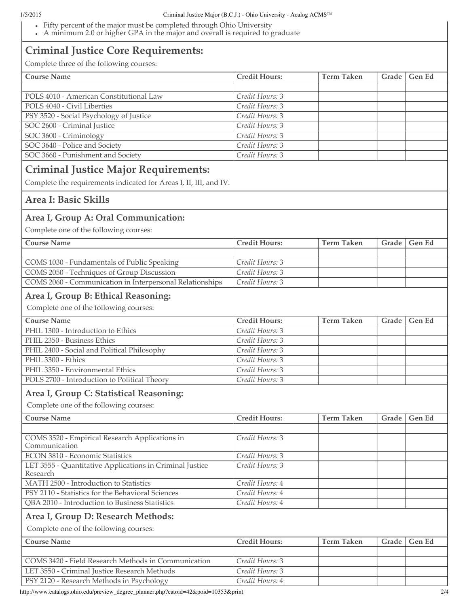#### 1/5/2015 Criminal Justice Major (B.C.J.) - Ohio University - Acalog ACMS™

- Fifty percent of the major must be completed through Ohio University
- A minimum 2.0 or higher GPA in the major and overall is required to graduate

## **Criminal Justice Core Requirements:**

Complete three of the following courses:

| Complete three of the following courses:                                                                         |                      |                   |       |               |
|------------------------------------------------------------------------------------------------------------------|----------------------|-------------------|-------|---------------|
| <b>Course Name</b>                                                                                               | <b>Credit Hours:</b> | <b>Term Taken</b> | Grade | <b>Gen Ed</b> |
| POLS 4010 - American Constitutional Law                                                                          | Credit Hours: 3      |                   |       |               |
| POLS 4040 - Civil Liberties                                                                                      | Credit Hours: 3      |                   |       |               |
| PSY 3520 - Social Psychology of Justice                                                                          | Credit Hours: 3      |                   |       |               |
| SOC 2600 - Criminal Justice                                                                                      | Credit Hours: 3      |                   |       |               |
| SOC 3600 - Criminology                                                                                           | Credit Hours: 3      |                   |       |               |
| SOC 3640 - Police and Society                                                                                    | Credit Hours: 3      |                   |       |               |
| SOC 3660 - Punishment and Society                                                                                | Credit Hours: 3      |                   |       |               |
|                                                                                                                  |                      |                   |       |               |
| <b>Criminal Justice Major Requirements:</b><br>Complete the requirements indicated for Areas I, II, III, and IV. |                      |                   |       |               |
| Area I: Basic Skills                                                                                             |                      |                   |       |               |
| Area I, Group A: Oral Communication:                                                                             |                      |                   |       |               |
| Complete one of the following courses:                                                                           |                      |                   |       |               |
| <b>Course Name</b>                                                                                               | <b>Credit Hours:</b> | <b>Term Taken</b> | Grade | Gen Ed        |
|                                                                                                                  | Credit Hours: 3      |                   |       |               |
| COMS 1030 - Fundamentals of Public Speaking                                                                      |                      |                   |       |               |
| COMS 2050 - Techniques of Group Discussion                                                                       | Credit Hours: 3      |                   |       |               |
| COMS 2060 - Communication in Interpersonal Relationships                                                         | Credit Hours: 3      |                   |       |               |
| Area I, Group B: Ethical Reasoning:                                                                              |                      |                   |       |               |
| Complete one of the following courses:                                                                           |                      |                   |       |               |
| <b>Course Name</b>                                                                                               | Credit Hours:        | <b>Term Taken</b> | Grade | Gen Ed        |
| PHIL 1300 - Introduction to Ethics                                                                               | Credit Hours: 3      |                   |       |               |
| PHIL 2350 - Business Ethics                                                                                      | Credit Hours: 3      |                   |       |               |
| PHIL 2400 - Social and Political Philosophy                                                                      | Credit Hours: 3      |                   |       |               |
| PHIL 3300 - Ethics                                                                                               | Credit Hours: 3      |                   |       |               |
| PHIL 3350 - Environmental Ethics                                                                                 | Credit Hours: 3      |                   |       |               |
| POLS 2700 - Introduction to Political Theory                                                                     | Credit Hours: 3      |                   |       |               |
| Area I, Group C: Statistical Reasoning:                                                                          |                      |                   |       |               |
| Complete one of the following courses:                                                                           |                      |                   |       |               |
| <b>Course Name</b>                                                                                               | <b>Credit Hours:</b> | <b>Term Taken</b> | Grade | Gen Ed        |
|                                                                                                                  |                      |                   |       |               |
| COMS 3520 - Empirical Research Applications in<br>Communication                                                  | Credit Hours: 3      |                   |       |               |
| <b>ECON 3810 - Economic Statistics</b>                                                                           | Credit Hours: 3      |                   |       |               |
| LET 3555 - Quantitative Applications in Criminal Justice<br>Research                                             | Credit Hours: 3      |                   |       |               |
| MATH 2500 - Introduction to Statistics                                                                           | Credit Hours: 4      |                   |       |               |
| PSY 2110 - Statistics for the Behavioral Sciences                                                                | Credit Hours: 4      |                   |       |               |
| QBA 2010 - Introduction to Business Statistics                                                                   | Credit Hours: 4      |                   |       |               |
|                                                                                                                  |                      |                   |       |               |
| Area I, Group D: Research Methods:<br>Complete one of the following courses:                                     |                      |                   |       |               |
|                                                                                                                  |                      |                   |       |               |
| <b>Course Name</b>                                                                                               | <b>Credit Hours:</b> | <b>Term Taken</b> | Grade | Gen Ed        |
|                                                                                                                  |                      |                   |       |               |
| COMS 3420 - Field Research Methods in Communication                                                              | Credit Hours: 3      |                   |       |               |
| LET 3550 - Criminal Justice Research Methods                                                                     | Credit Hours: 3      |                   |       |               |
| PSY 2120 - Research Methods in Psychology                                                                        | Credit Hours: 4      |                   |       |               |

http://www.catalogs.ohio.edu/preview\_degree\_planner.php?catoid=42&poid=10353&print 2/4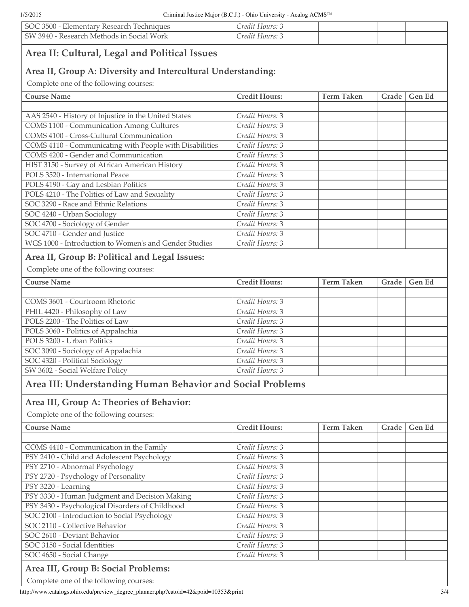| SOC 3500 - Elementary Research Techniques                    | Credit Hours: 3      |                   |       |        |  |  |  |  |
|--------------------------------------------------------------|----------------------|-------------------|-------|--------|--|--|--|--|
| SW 3940 - Research Methods in Social Work                    | Credit Hours: 3      |                   |       |        |  |  |  |  |
| Area II: Cultural, Legal and Political Issues                |                      |                   |       |        |  |  |  |  |
| Area II, Group A: Diversity and Intercultural Understanding: |                      |                   |       |        |  |  |  |  |
| Complete one of the following courses:                       |                      |                   |       |        |  |  |  |  |
| <b>Course Name</b>                                           | <b>Credit Hours:</b> | <b>Term Taken</b> | Grade | Gen Ed |  |  |  |  |
|                                                              |                      |                   |       |        |  |  |  |  |
| AAS 2540 - History of Injustice in the United States         | Credit Hours: 3      |                   |       |        |  |  |  |  |
| <b>COMS 1100 - Communication Among Cultures</b>              | Credit Hours: 3      |                   |       |        |  |  |  |  |
| COMS 4100 - Cross-Cultural Communication                     | Credit Hours: 3      |                   |       |        |  |  |  |  |
| COMS 4110 - Communicating with People with Disabilities      | Credit Hours: 3      |                   |       |        |  |  |  |  |
| COMS 4200 - Gender and Communication                         | Credit Hours: 3      |                   |       |        |  |  |  |  |
| HIST 3150 - Survey of African American History               | Credit Hours: 3      |                   |       |        |  |  |  |  |
| POLS 3520 - International Peace                              | Credit Hours: 3      |                   |       |        |  |  |  |  |
| POLS 4190 - Gay and Lesbian Politics                         | Credit Hours: 3      |                   |       |        |  |  |  |  |
| POLS 4210 - The Politics of Law and Sexuality                | Credit Hours: 3      |                   |       |        |  |  |  |  |
| SOC 3290 - Race and Ethnic Relations                         | Credit Hours: 3      |                   |       |        |  |  |  |  |
| SOC 4240 - Urban Sociology                                   | Credit Hours: 3      |                   |       |        |  |  |  |  |
| SOC 4700 - Sociology of Gender                               | Credit Hours: 3      |                   |       |        |  |  |  |  |
| SOC 4710 - Gender and Justice                                | Credit Hours: 3      |                   |       |        |  |  |  |  |
| WGS 1000 - Introduction to Women's and Gender Studies        | Credit Hours: 3      |                   |       |        |  |  |  |  |
| Area II, Group B: Political and Legal Issues:                |                      |                   |       |        |  |  |  |  |
| Complete one of the following courses:                       |                      |                   |       |        |  |  |  |  |
|                                                              |                      |                   |       |        |  |  |  |  |
| <b>Course Name</b>                                           | <b>Credit Hours:</b> | <b>Term Taken</b> | Grade | Gen Ed |  |  |  |  |
| COMS 3601 - Courtroom Rhetoric                               | Credit Hours: 3      |                   |       |        |  |  |  |  |
| PHIL 4420 - Philosophy of Law                                | Credit Hours: 3      |                   |       |        |  |  |  |  |
| POLS 2200 - The Politics of Law                              | Credit Hours: 3      |                   |       |        |  |  |  |  |
| POLS 3060 - Politics of Appalachia                           | Credit Hours: 3      |                   |       |        |  |  |  |  |
| POLS 3200 - Urban Politics                                   | Credit Hours: 3      |                   |       |        |  |  |  |  |
| SOC 3090 - Sociology of Appalachia                           | Credit Hours: 3      |                   |       |        |  |  |  |  |
| SOC 4320 - Political Sociology                               | Credit Hours: 3      |                   |       |        |  |  |  |  |
| SW 3602 - Social Welfare Policy                              | Credit Hours: 3      |                   |       |        |  |  |  |  |
|                                                              |                      |                   |       |        |  |  |  |  |
| Area III: Understanding Human Behavior and Social Problems   |                      |                   |       |        |  |  |  |  |
| Area III, Group A: Theories of Behavior:                     |                      |                   |       |        |  |  |  |  |
| Complete one of the following courses:                       |                      |                   |       |        |  |  |  |  |
| <b>Course Name</b>                                           | Credit Hours:        | <b>Term Taken</b> | Grade | Gen Ed |  |  |  |  |
|                                                              |                      |                   |       |        |  |  |  |  |
| COMS 4410 - Communication in the Family                      | Credit Hours: 3      |                   |       |        |  |  |  |  |
| PSY 2410 - Child and Adolescent Psychology                   | Credit Hours: 3      |                   |       |        |  |  |  |  |
| PSY 2710 - Abnormal Psychology                               | Credit Hours: 3      |                   |       |        |  |  |  |  |
| PSY 2720 - Psychology of Personality                         | Credit Hours: 3      |                   |       |        |  |  |  |  |
| PSY 3220 - Learning                                          | Credit Hours: 3      |                   |       |        |  |  |  |  |
| PSY 3330 - Human Judgment and Decision Making                | Credit Hours: 3      |                   |       |        |  |  |  |  |
| PSY 3430 - Psychological Disorders of Childhood              | Credit Hours: 3      |                   |       |        |  |  |  |  |
| SOC 2100 - Introduction to Social Psychology                 | Credit Hours: 3      |                   |       |        |  |  |  |  |
| SOC 2110 - Collective Behavior                               | Credit Hours: 3      |                   |       |        |  |  |  |  |
| SOC 2610 - Deviant Behavior                                  | Credit Hours: 3      |                   |       |        |  |  |  |  |
| SOC 3150 - Social Identities                                 | Credit Hours: 3      |                   |       |        |  |  |  |  |
| SOC 4650 - Social Change                                     | Credit Hours: 3      |                   |       |        |  |  |  |  |
|                                                              |                      |                   |       |        |  |  |  |  |

# **Area III, Group B: Social Problems:**

Complete one of the following courses:

http://www.catalogs.ohio.edu/preview\_degree\_planner.php?catoid=42&poid=10353&print 3/4